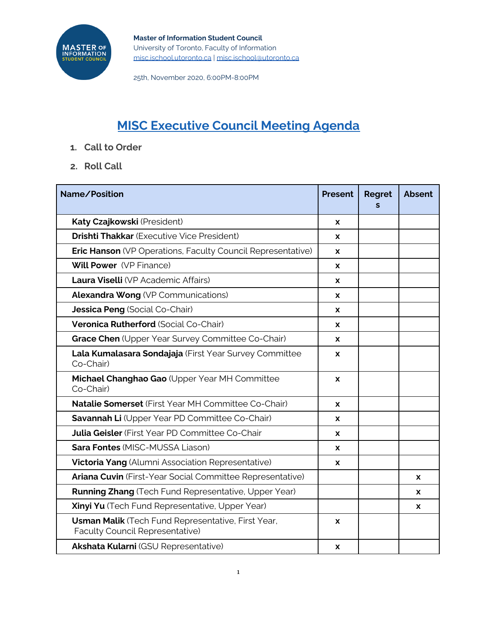

25th, November 2020, 6:00PM-8:00PM

# **MISC Executive Council Meeting Agenda**

- **1. Call to Order**
- **2. Roll Call**

| Name/Position                                                                         | <b>Present</b> | <b>Regret</b><br>S | <b>Absent</b> |
|---------------------------------------------------------------------------------------|----------------|--------------------|---------------|
| Katy Czajkowski (President)                                                           | X              |                    |               |
| <b>Drishti Thakkar (Executive Vice President)</b>                                     | X              |                    |               |
| <b>Eric Hanson</b> (VP Operations, Faculty Council Representative)                    | X              |                    |               |
| <b>Will Power</b> (VP Finance)                                                        | X              |                    |               |
| Laura Viselli (VP Academic Affairs)                                                   | X              |                    |               |
| <b>Alexandra Wong (VP Communications)</b>                                             | X              |                    |               |
| Jessica Peng (Social Co-Chair)                                                        | X              |                    |               |
| Veronica Rutherford (Social Co-Chair)                                                 | <b>X</b>       |                    |               |
| Grace Chen (Upper Year Survey Committee Co-Chair)                                     | X              |                    |               |
| Lala Kumalasara Sondajaja (First Year Survey Committee<br>Co-Chair)                   | X              |                    |               |
| Michael Changhao Gao (Upper Year MH Committee<br>Co-Chair)                            | X              |                    |               |
| <b>Natalie Somerset</b> (First Year MH Committee Co-Chair)                            | X              |                    |               |
| Savannah Li (Upper Year PD Committee Co-Chair)                                        | <b>X</b>       |                    |               |
| <b>Julia Geisler</b> (First Year PD Committee Co-Chair                                | X              |                    |               |
| <b>Sara Fontes (MISC-MUSSA Liason)</b>                                                | X              |                    |               |
| <b>Victoria Yang</b> (Alumni Association Representative)                              | <b>X</b>       |                    |               |
| Ariana Cuvin (First-Year Social Committee Representative)                             |                |                    | X             |
| <b>Running Zhang</b> (Tech Fund Representative, Upper Year)                           |                |                    | <b>X</b>      |
| Xinyi Yu (Tech Fund Representative, Upper Year)                                       |                |                    | <b>X</b>      |
| Usman Malik (Tech Fund Representative, First Year,<br>Faculty Council Representative) | X              |                    |               |
| <b>Akshata Kularni (GSU Representative)</b>                                           | X              |                    |               |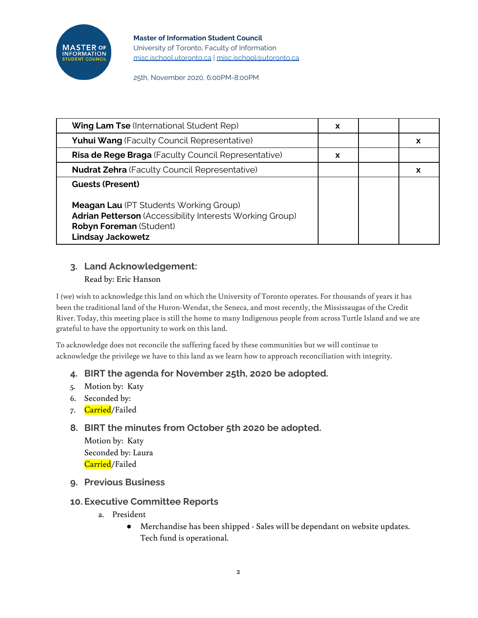

### **Master of Information Student Council** University of Toronto, Faculty of Information [misc.ischool.utoronto.ca](http://misc.ischool.utoronto.ca/) | [misc.ischool@utoronto.ca](mailto:misc.ischool@utoronto.ca)

### 25th, November 2020, 6:00PM-8:00PM

| <b>Wing Lam Tse</b> (International Student Rep)                                                                                                                         | x |   |
|-------------------------------------------------------------------------------------------------------------------------------------------------------------------------|---|---|
| <b>Yuhui Wang (Faculty Council Representative)</b>                                                                                                                      |   | X |
| Risa de Rege Braga (Faculty Council Representative)                                                                                                                     | X |   |
| <b>Nudrat Zehra</b> (Faculty Council Representative)                                                                                                                    |   | X |
| <b>Guests (Present)</b>                                                                                                                                                 |   |   |
| <b>Meagan Lau (PT Students Working Group)</b><br>Adrian Petterson (Accessibility Interests Working Group)<br><b>Robyn Foreman (Student)</b><br><b>Lindsay Jackowetz</b> |   |   |

# **3. Land Acknowledgement:**

# Read by: Eric Hanson

I (we) wish to acknowledge this land on which the University of Toronto operates. For thousands of years it has been the traditional land of the Huron-Wendat, the Seneca, and most recently, the Mississaugas of the Credit River. Today, this meeting place is still the home to many Indigenous people from across Turtle Island and we are grateful to have the opportunity to work on this land.

To acknowledge does not reconcile the suffering faced by these communities but we will continue to acknowledge the privilege we have to this land as we learn how to approach reconciliation with integrity.

# **4. BIRT the agenda for November 25th, 2020 be adopted.**

- 5. Motion by: Katy
- 6. Seconded by:
- 7. Carried/Failed

# **8. BIRT the minutes from October 5th 2020 be adopted.**

Motion by: Katy Seconded by: Laura Carried/Failed

**9. Previous Business**

# **10. Executive Committee Reports**

- a. President
	- Merchandise has been shipped Sales will be dependant on website updates. Tech fund is operational.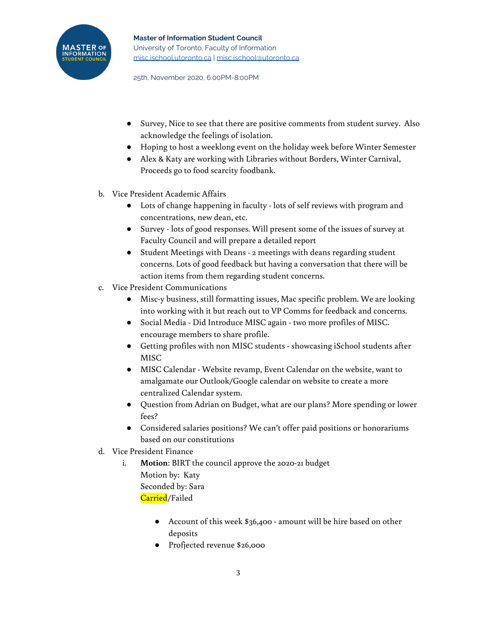

25th, November 2020, 6:00PM-8:00PM

- Survey, Nice to see that there are positive comments from student survey. Also acknowledge the feelings of isolation.
- Hoping to host a weeklong event on the holiday week before Winter Semester
- Alex & Katy are working with Libraries without Borders, Winter Carnival, Proceeds go to food scarcity foodbank.
- b. Vice President Academic Affairs
	- Lots of change happening in faculty lots of self reviews with program and concentrations, new dean, etc.
	- Survey lots of good responses. Will present some of the issues of survey at Faculty Council and will prepare a detailed report
	- Student Meetings with Deans 2 meetings with deans regarding student concerns. Lots of good feedback but having a conversation that there will be action items from them regarding student concerns.
- c. Vice President Communications
	- Misc-y business, still formatting issues, Mac specific problem. We are looking into working with it but reach out to VP Comms for feedback and concerns.
	- Social Media Did Introduce MISC again two more profiles of MISC. encourage members to share profile.
	- Getting profiles with non MISC students showcasing iSchool students after MISC
	- MISC Calendar Website revamp, Event Calendar on the website, want to amalgamate our Outlook/Google calendar on website to create a more centralized Calendar system.
	- Question from Adrian on Budget, what are our plans? More spending or lower fees?
	- Considered salaries positions? We can't offer paid positions or honorariums based on our constitutions
- d. Vice President Finance
	- i. **Motion**: BIRT the council approve the 2020-21 budget Motion by: Katy Seconded by: Sara Carried/Failed
		- Account of this week \$36,400 amount will be hire based on other deposits
		- Profjected revenue \$26,000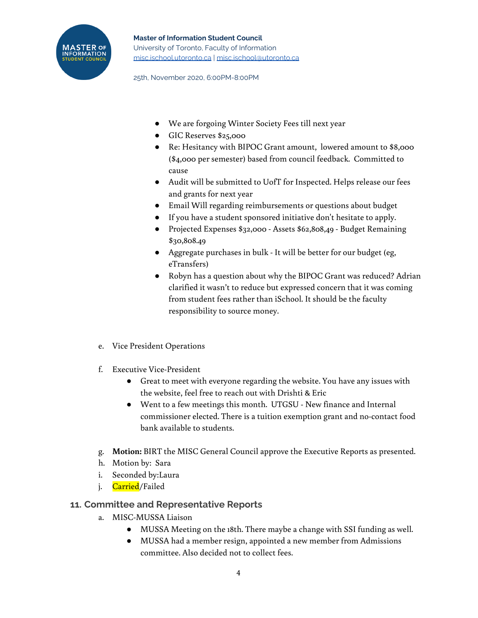### **Master of Information Student Council**

University of Toronto, Faculty of Information [misc.ischool.utoronto.ca](http://misc.ischool.utoronto.ca/) | [misc.ischool@utoronto.ca](mailto:misc.ischool@utoronto.ca)

25th, November 2020, 6:00PM-8:00PM

- We are forgoing Winter Society Fees till next year
- GIC Reserves \$25,000
- Re: Hesitancy with BIPOC Grant amount, lowered amount to \$8,000 (\$4,000 per semester) based from council feedback. Committed to cause
- Audit will be submitted to UofT for Inspected. Helps release our fees and grants for next year
- Email Will regarding reimbursements or questions about budget
- If you have a student sponsored initiative don't hesitate to apply.
- Projected Expenses \$32,000 Assets \$62,808,49 Budget Remaining \$30,808.49
- Aggregate purchases in bulk It will be better for our budget (eg, eTransfers)
- Robyn has a question about why the BIPOC Grant was reduced? Adrian clarified it wasn't to reduce but expressed concern that it was coming from student fees rather than iSchool. It should be the faculty responsibility to source money.
- e. Vice President Operations
- f. Executive Vice-President
	- Great to meet with everyone regarding the website. You have any issues with the website, feel free to reach out with Drishti & Eric
	- Went to a few meetings this month. UTGSU New finance and Internal commissioner elected. There is a tuition exemption grant and no-contact food bank available to students.
- g. **Motion:** BIRT the MISC General Council approve the Executive Reports as presented.
- h. Motion by: Sara
- i. Seconded by:Laura
- j. Carried/Failed

# **11. Committee and Representative Reports**

- a. MISC-MUSSA Liaison
	- MUSSA Meeting on the 18th. There maybe a change with SSI funding as well.
	- MUSSA had a member resign, appointed a new member from Admissions committee. Also decided not to collect fees.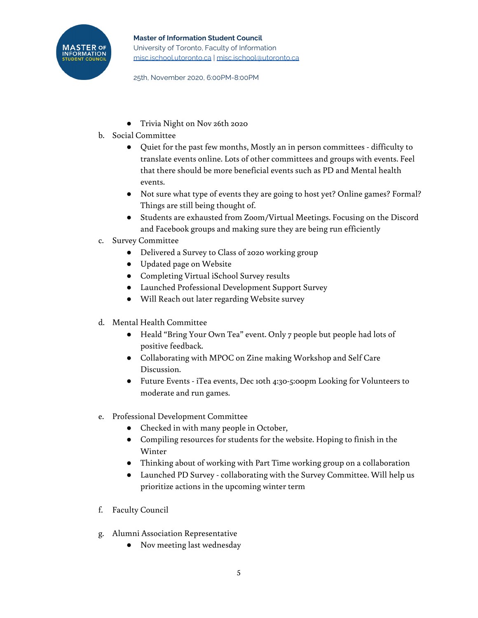

### **Master of Information Student Council** University of Toronto, Faculty of Information [misc.ischool.utoronto.ca](http://misc.ischool.utoronto.ca/) | [misc.ischool@utoronto.ca](mailto:misc.ischool@utoronto.ca)

25th, November 2020, 6:00PM-8:00PM

- Trivia Night on Nov 26th 2020
- b. Social Committee
	- Quiet for the past few months, Mostly an in person committees difficulty to translate events online. Lots of other committees and groups with events. Feel that there should be more beneficial events such as PD and Mental health events.
	- Not sure what type of events they are going to host yet? Online games? Formal? Things are still being thought of.
	- Students are exhausted from Zoom/Virtual Meetings. Focusing on the Discord and Facebook groups and making sure they are being run efficiently
- c. Survey Committee
	- Delivered a Survey to Class of 2020 working group
	- Updated page on Website
	- Completing Virtual iSchool Survey results
	- Launched Professional Development Support Survey
	- Will Reach out later regarding Website survey
- d. Mental Health Committee
	- Heald "Bring Your Own Tea" event. Only 7 people but people had lots of positive feedback.
	- Collaborating with MPOC on Zine making Workshop and Self Care Discussion.
	- Future Events iTea events, Dec 10th 4:30-5:00pm Looking for Volunteers to moderate and run games.
- e. Professional Development Committee
	- Checked in with many people in October,
	- Compiling resources for students for the website. Hoping to finish in the Winter
	- Thinking about of working with Part Time working group on a collaboration
	- Launched PD Survey collaborating with the Survey Committee. Will help us prioritize actions in the upcoming winter term
- f. Faculty Council
- g. Alumni Association Representative
	- Nov meeting last wednesday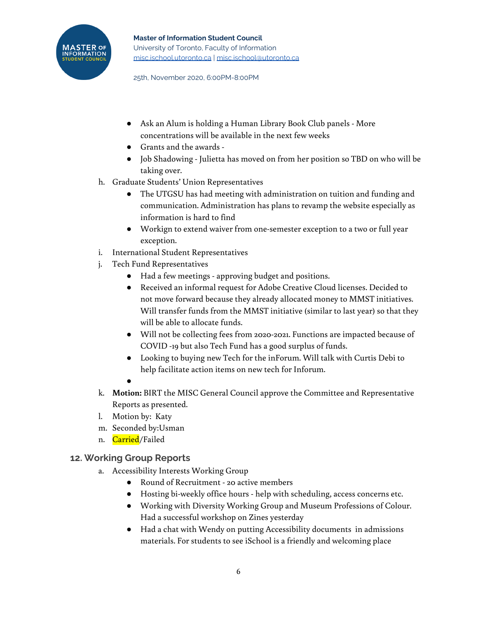

### **Master of Information Student Council** University of Toronto, Faculty of Information [misc.ischool.utoronto.ca](http://misc.ischool.utoronto.ca/) | [misc.ischool@utoronto.ca](mailto:misc.ischool@utoronto.ca)

25th, November 2020, 6:00PM-8:00PM

- Ask an Alum is holding a Human Library Book Club panels More concentrations will be available in the next few weeks
- Grants and the awards -
- Job Shadowing Julietta has moved on from her position so TBD on who will be taking over.
- h. Graduate Students' Union Representatives
	- The UTGSU has had meeting with administration on tuition and funding and communication. Administration has plans to revamp the website especially as information is hard to find
	- Workign to extend waiver from one-semester exception to a two or full year exception.
- i. International Student Representatives
- j. Tech Fund Representatives
	- Had a few meetings approving budget and positions.
	- Received an informal request for Adobe Creative Cloud licenses. Decided to not move forward because they already allocated money to MMST initiatives. Will transfer funds from the MMST initiative (similar to last year) so that they will be able to allocate funds.
	- Will not be collecting fees from 2020-2021. Functions are impacted because of COVID -19 but also Tech Fund has a good surplus of funds.
	- Looking to buying new Tech for the inForum. Will talk with Curtis Debi to help facilitate action items on new tech for Inforum.
	- ●
- k. **Motion:** BIRT the MISC General Council approve the Committee and Representative Reports as presented.
- l. Motion by: Katy
- m. Seconded by:Usman
- n. Carried/Failed

# **12. Working Group Reports**

- a. Accessibility Interests Working Group
	- Round of Recruitment 20 active members
	- Hosting bi-weekly office hours help with scheduling, access concerns etc.
	- Working with Diversity Working Group and Museum Professions of Colour. Had a successful workshop on Zines yesterday
	- Had a chat with Wendy on putting Accessibility documents in admissions materials. For students to see iSchool is a friendly and welcoming place